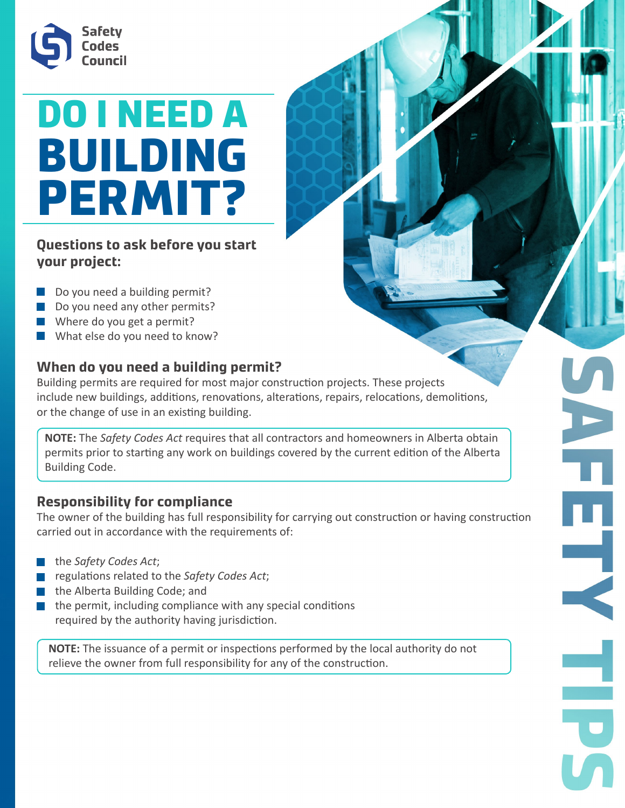

# DO I NEED A BUILDING PERMIT?

**Questions to ask before you start your project:**

- Do you need a building permit?
- Do you need any other permits?
- Where do you get a permit?
- What else do you need to know?

## **When do you need a building permit?**

Building permits are required for most major construction projects. These projects include new buildings, additions, renovations, alterations, repairs, relocations, demolitions, or the change of use in an existing building.

**NOTE:** The *Safety Codes Act* requires that all contractors and homeowners in Alberta obtain permits prior to starting any work on buildings covered by the current edition of the Alberta Building Code.

### **Responsibility for compliance**

The owner of the building has full responsibility for carrying out construction or having construction carried out in accordance with the requirements of:

- the *Safety Codes Act*;
- regulations related to the *Safety Codes Act*;
- the Alberta Building Code; and
- the permit, including compliance with any special conditions required by the authority having jurisdiction.

**NOTE:** The issuance of a permit or inspections performed by the local authority do not relieve the owner from full responsibility for any of the construction.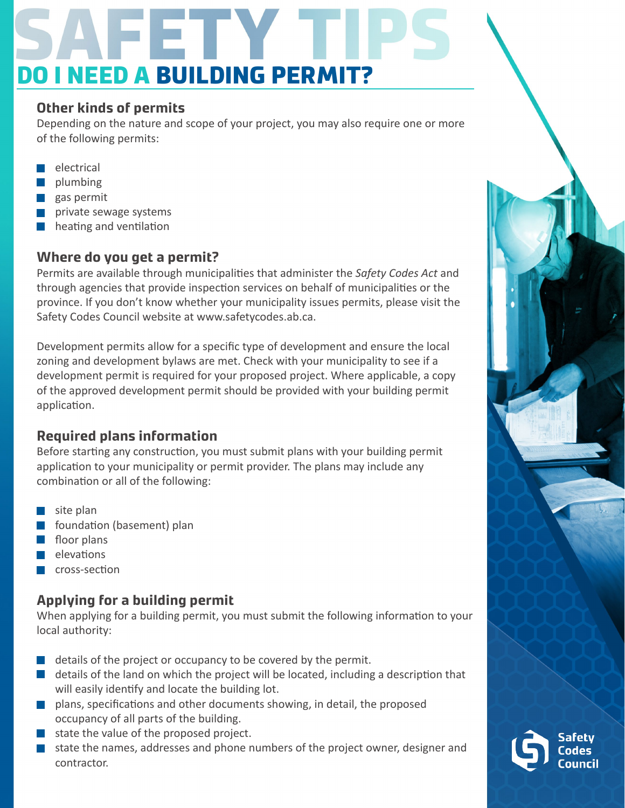# DO I NEED A BUILDING PERMIT?

### **Other kinds of permits**

Depending on the nature and scope of your project, you may also require one or more of the following permits:

- electrical
- plumbing
- **gas permit**
- private sewage systems
- $\blacksquare$  heating and ventilation

## **Where do you get a permit?**

Permits are available through municipalities that administer the *Safety Codes Act* and through agencies that provide inspection services on behalf of municipalities or the province. If you don't know whether your municipality issues permits, please visit the Safety Codes Council website at www.safetycodes.ab.ca.

Development permits allow for a specific type of development and ensure the local zoning and development bylaws are met. Check with your municipality to see if a development permit is required for your proposed project. Where applicable, a copy of the approved development permit should be provided with your building permit application.

# **Required plans information**

Before starting any construction, you must submit plans with your building permit application to your municipality or permit provider. The plans may include any combination or all of the following:

- $\blacksquare$  site plan
- foundation (basement) plan
- floor plans
- $\blacksquare$  elevations
- cross-section

## **Applying for a building permit**

When applying for a building permit, you must submit the following information to your local authority:

- $\blacksquare$  details of the project or occupancy to be covered by the permit.
- $\blacksquare$  details of the land on which the project will be located, including a description that will easily identify and locate the building lot.
- **P** plans, specifications and other documents showing, in detail, the proposed occupancy of all parts of the building.
- state the value of the proposed project.
- state the names, addresses and phone numbers of the project owner, designer and contractor.

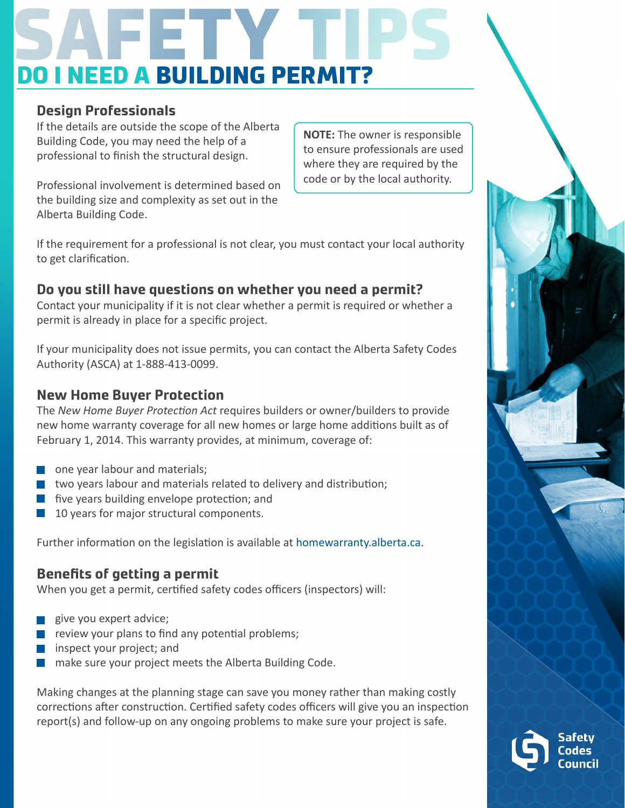# **I NEED A BUILDING PERMIT?**

### **Design Professionals**

If the details are outside the scope of the Alberta Building Code, you may need the help of a professional to finish the structural design.

**NOTE:** The owner is responsible to ensure professionals are used where they are required by the code or by the local authority.

Professional involvement is determined based on the building size and complexity as set out in the Alberta Building Code.

If the requirement for a professional is not clear, you must contact your local authority to get clarification.

### **Do you still have questions on whether you need a permit?**

Contact your municipality if it is not clear whether a permit is required or whether a permit is already in place for a specific project.

If your municipality does not issue permits, you can contact the Alberta Safety Codes Authority (ASCA) at 1-888-413-0099.

### **New Home Buyer Protection**

The *New Home Buyer Protection Act* requires builders or owner/builders to provide new home warranty coverage for all new homes or large home additions built as of February 1, 2014. This warranty provides, at minimum, coverage of:

- one year labour and materials;
- two years labour and materials related to delivery and distribution;
- **five years building envelope protection; and**
- 10 years for major structural components.

Further information on the legislation is available at homewarranty.alberta.ca.

### **Benefits of getting a permit**

When you get a permit, certified safety codes officers (inspectors) will:

- give you expert advice;
- review your plans to find any potential problems;
- inspect your project; and
- make sure your project meets the Alberta Building Code.

Making changes at the planning stage can save you money rather than making costly corrections after construction. Certified safety codes officers will give you an inspection report(s) and follow-up on any ongoing problems to make sure your project is safe.